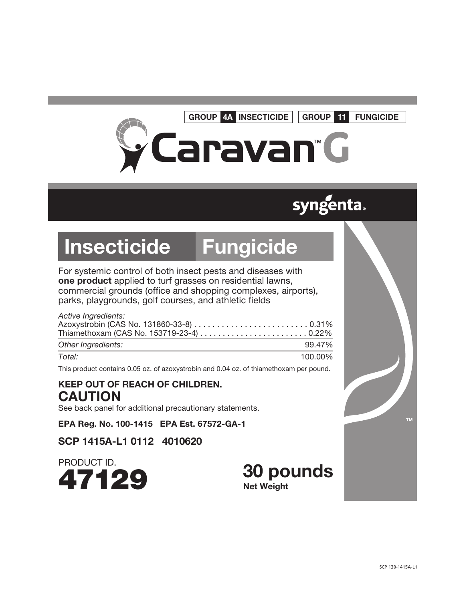#### GROUP 4A INSECTICIDE

GROUP 11 FUNGICIDE

# Caravan"G

### **syngenta.**

## Insecticide Fungicide

For systemic control of both insect pests and diseases with one product applied to turf grasses on residential lawns, commercial grounds (office and shopping complexes, airports), parks, playgrounds, golf courses, and athletic fields

#### *Active Ingredients:*  Azoxystrobin (CAS No. 131860-33-8) . . . . . . . . . . . . . . . . . . . . . . . . . 0.31% Thiamethoxam (CAS No. 153719-23-4) . . . . . . . . . . . . . . . . . . . . . . . . 0.22%

| Other Ingredients: | 99.47%  |
|--------------------|---------|
| Total:             | 100.00% |

This product contains 0.05 oz. of azoxystrobin and 0.04 oz. of thiamethoxam per pound.

#### KEEP OUT OF REACH OF CHILDREN. **CAUTION**

See back panel for additional precautionary statements.

EPA Reg. No. 100-1415 EPA Est. 67572-GA-1

SCP 1415A-L1 0112 4010620

PRODUCT ID.



30 pounds Net Weight

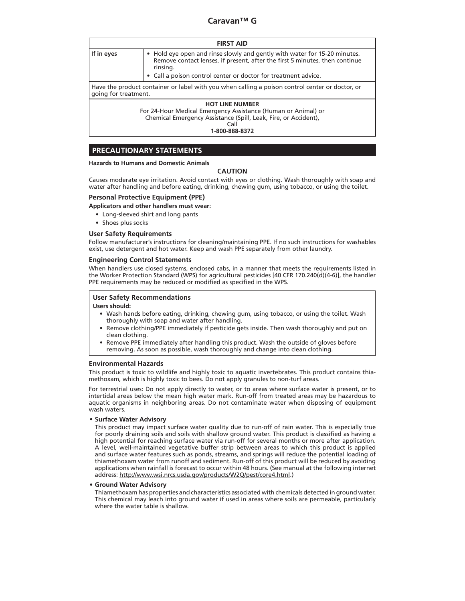| <b>FIRST AID</b>                                                                                                                                                                     |                                                                                                                                                                                                                                        |  |
|--------------------------------------------------------------------------------------------------------------------------------------------------------------------------------------|----------------------------------------------------------------------------------------------------------------------------------------------------------------------------------------------------------------------------------------|--|
| If in eyes                                                                                                                                                                           | • Hold eye open and rinse slowly and gently with water for 15-20 minutes.<br>Remove contact lenses, if present, after the first 5 minutes, then continue<br>rinsing.<br>• Call a poison control center or doctor for treatment advice. |  |
| going for treatment.                                                                                                                                                                 | Have the product container or label with you when calling a poison control center or doctor, or                                                                                                                                        |  |
| <b>HOT LINE NUMBER</b><br>For 24-Hour Medical Emergency Assistance (Human or Animal) or<br>Chemical Emergency Assistance (Spill, Leak, Fire, or Accident),<br>Call<br>1-800-888-8372 |                                                                                                                                                                                                                                        |  |

#### **PRECAUTIONARY STATEMENTS**

#### **Hazards to Humans and Domestic Animals**

#### **CAUTION**

Causes moderate eye irritation. Avoid contact with eyes or clothing. Wash thoroughly with soap and water after handling and before eating, drinking, chewing gum, using tobacco, or using the toilet.

#### **Personal Protective Equipment (PPE)**

#### **Applicators and other handlers must wear:**

- • Long-sleeved shirt and long pants
- Shoes plus socks

#### **User Safety Requirements**

Follow manufacturer's instructions for cleaning/maintaining PPE. If no such instructions for washables exist, use detergent and hot water. Keep and wash PPE separately from other laundry.

#### **Engineering Control Statements**

When handlers use closed systems, enclosed cabs, in a manner that meets the requirements listed in the Worker Protection Standard (WPS) for agricultural pesticides [40 CFR 170.240(d)(4-6)], the handler PPE requirements may be reduced or modified as specified in the WPS.

#### **User Safety Recommendations**

#### **Users should:**

- • Wash hands before eating, drinking, chewing gum, using tobacco, or using the toilet. Wash thoroughly with soap and water after handling.
- Remove clothing/PPE immediately if pesticide gets inside. Then wash thoroughly and put on clean clothing.
- Remove PPE immediately after handling this product. Wash the outside of gloves before removing. As soon as possible, wash thoroughly and change into clean clothing.

#### **Environmental Hazards**

This product is toxic to wildlife and highly toxic to aquatic invertebrates. This product contains thiamethoxam, which is highly toxic to bees. Do not apply granules to non-turf areas.

For terrestrial uses: Do not apply directly to water, or to areas where surface water is present, or to intertidal areas below the mean high water mark. Run-off from treated areas may be hazardous to aquatic organisms in neighboring areas. Do not contaminate water when disposing of equipment wash waters.

#### **• Surface Water Advisory**

This product may impact surface water quality due to run-off of rain water. This is especially true for poorly draining soils and soils with shallow ground water. This product is classified as having a high potential for reaching surface water via run-off for several months or more after application. A level, well-maintained vegetative buffer strip between areas to which this product is applied and surface water features such as ponds, streams, and springs will reduce the potential loading of thiamethoxam water from runoff and sediment. Run-off of this product will be reduced by avoiding applications when rainfall is forecast to occur within 48 hours. (See manual at the following internet address: http://www.wsi.nrcs.usda.gov/products/W2Q/pest/core4.html.)

#### **• Ground Water Advisory**

Thiamethoxam has properties and characteristics associated with chemicals detected in ground water. This chemical may leach into ground water if used in areas where soils are permeable, particularly where the water table is shallow.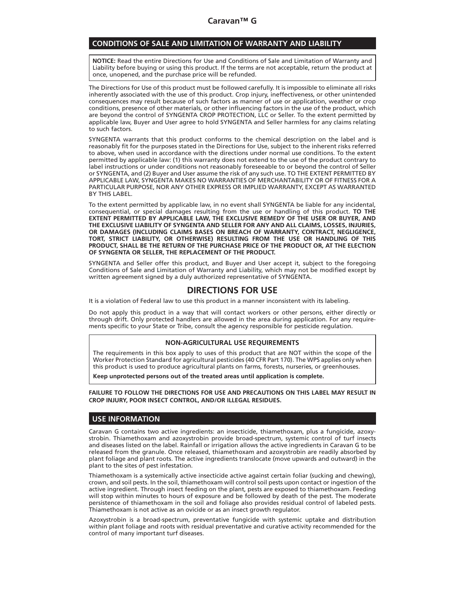#### **CONDITIONS OF SALE AND LIMITATION OF WARRANTY AND LIABILITY**

**NOTICE:** Read the entire Directions for Use and Conditions of Sale and Limitation of Warranty and Liability before buying or using this product. If the terms are not acceptable, return the product at once, unopened, and the purchase price will be refunded.

The Directions for Use of this product must be followed carefully. It is impossible to eliminate all risks inherently associated with the use of this product. Crop injury, ineffectiveness, or other unintended consequences may result because of such factors as manner of use or application, weather or crop conditions, presence of other materials, or other influencing factors in the use of the product, which are beyond the control of SYNGENTA CROP PROTECTION, LLC or Seller. To the extent permitted by applicable law, Buyer and User agree to hold SYNGENTA and Seller harmless for any claims relating to such factors.

SYNGENTA warrants that this product conforms to the chemical description on the label and is reasonably fit for the purposes stated in the Directions for Use, subject to the inherent risks referred to above, when used in accordance with the directions under normal use conditions. To the extent permitted by applicable law: (1) this warranty does not extend to the use of the product contrary to label instructions or under conditions not reasonably foreseeable to or beyond the control of Seller or SYNGENTA, and (2) Buyer and User assume the risk of any such use. TO THE EXTENT PERMITTED BY APPLICABLE LAW, SYNGENTA MAKES NO WARRANTIES OF MERCHANTABILITY OR OF FITNESS FOR A PARTICULAR PURPOSE, NOR ANY OTHER EXPRESS OR IMPLIED WARRANTY, EXCEPT AS WARRANTED BY THIS LABEL.

To the extent permitted by applicable law, in no event shall SYNGENTA be liable for any incidental, consequential, or special damages resulting from the use or handling of this product. **TO THE EXTENT PERMITTED BY APPLICABLE LAW, THE EXCLUSIVE REMEDY OF THE USER OR BUYER, AND THE EXCLUSIVE LIABILITY OF SYNGENTA AND SELLER FOR ANY AND ALL CLAIMS, LOSSES, INJURIES, OR DAMAGES (INCLUDING CLAIMS BASES ON BREACH OF WARRANTY, CONTRACT, NEGLIGENCE, TORT, STRICT LIABILITY, OR OTHERWISE) RESULTING FROM THE USE OR HANDLING OF THIS PRODUCT, SHALL BE THE RETURN OF THE PURCHASE PRICE OF THE PRODUCT OR, AT THE ELECTION OF SYNGENTA OR SELLER, THE REPLACEMENT OF THE PRODUCT.**

SYNGENTA and Seller offer this product, and Buyer and User accept it, subject to the foregoing Conditions of Sale and Limitation of Warranty and Liability, which may not be modified except by written agreement signed by a duly authorized representative of SYNGENTA.

#### **DIRECTIONS FOR USE**

It is a violation of Federal law to use this product in a manner inconsistent with its labeling.

Do not apply this product in a way that will contact workers or other persons, either directly or through drift. Only protected handlers are allowed in the area during application. For any requirements specific to your State or Tribe, consult the agency responsible for pesticide regulation.

#### **NON-AGRICULTURAL USE REQUIREMENTS**

The requirements in this box apply to uses of this product that are NOT within the scope of the Worker Protection Standard for agricultural pesticides (40 CFR Part 170). The WPS applies only when this product is used to produce agricultural plants on farms, forests, nurseries, or greenhouses.

**Keep unprotected persons out of the treated areas until application is complete.**

**FAILURE TO FOLLOW THE DIRECTIONS FOR USE AND PRECAUTIONS ON THIS LABEL MAY RESULT IN CROP INJURY, POOR INSECT CONTROL, AND/OR ILLEGAL RESIDUES.**

#### **USE INFORMATION**

Caravan G contains two active ingredients: an insecticide, thiamethoxam, plus a fungicide, azoxystrobin. Thiamethoxam and azoxystrobin provide broad-spectrum, systemic control of turf insects and diseases listed on the label. Rainfall or irrigation allows the active ingredients in Caravan G to be released from the granule. Once released, thiamethoxam and azoxystrobin are readily absorbed by plant foliage and plant roots. The active ingredients translocate (move upwards and outward) in the plant to the sites of pest infestation.

Thiamethoxam is a systemically active insecticide active against certain foliar (sucking and chewing), crown, and soil pests. In the soil, thiamethoxam will control soil pests upon contact or ingestion of the active ingredient. Through insect feeding on the plant, pests are exposed to thiamethoxam. Feeding will stop within minutes to hours of exposure and be followed by death of the pest. The moderate persistence of thiamethoxam in the soil and foliage also provides residual control of labeled pests. Thiamethoxam is not active as an ovicide or as an insect growth regulator.

Azoxystrobin is a broad-spectrum, preventative fungicide with systemic uptake and distribution within plant foliage and roots with residual preventative and curative activity recommended for the control of many important turf diseases.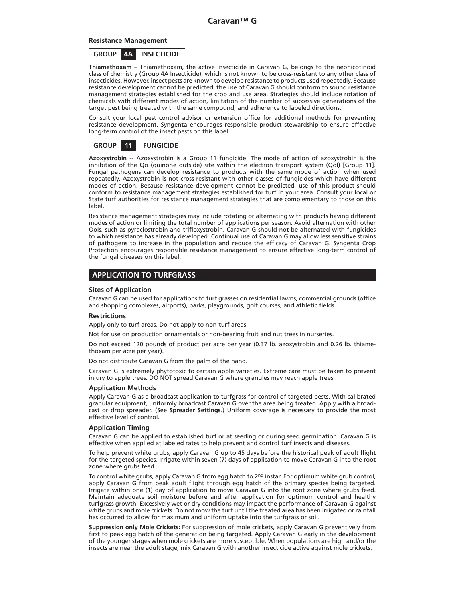#### **Resistance Management**

**GROUP 4A INSECTICIDE**

**Thiamethoxam** – Thiamethoxam, the active insecticide in Caravan G, belongs to the neonicotinoid class of chemistry (Group 4A Insecticide), which is not known to be cross-resistant to any other class of insecticides. However, insect pests are known to develop resistance to products used repeatedly. Because resistance development cannot be predicted, the use of Caravan G should conform to sound resistance management strategies established for the crop and use area. Strategies should include rotation of chemicals with different modes of action, limitation of the number of successive generations of the target pest being treated with the same compound, and adherence to labeled directions.

Consult your local pest control advisor or extension office for additional methods for preventing resistance development. Syngenta encourages responsible product stewardship to ensure effective long-term control of the insect pests on this label.



**Azoxystrobin** -- Azoxystrobin is a Group 11 fungicide. The mode of action of azoxystrobin is the inhibition of the Qo (quinone outside) site within the electron transport system (QoI) [Group 11]. Fungal pathogens can develop resistance to products with the same mode of action when used repeatedly. Azoxystrobin is not cross-resistant with other classes of fungicides which have different modes of action. Because resistance development cannot be predicted, use of this product should conform to resistance management strategies established for turf in your area. Consult your local or State turf authorities for resistance management strategies that are complementary to those on this label.

Resistance management strategies may include rotating or alternating with products having different modes of action or limiting the total number of applications per season. Avoid alternation with other QoIs, such as pyraclostrobin and trifloxystrobin. Caravan G should not be alternated with fungicides to which resistance has already developed. Continual use of Caravan G may allow less sensitive strains of pathogens to increase in the population and reduce the efficacy of Caravan G. Syngenta Crop Protection encourages responsible resistance management to ensure effective long-term control of the fungal diseases on this label.

#### **APPLICATION TO TURFGRASS**

#### **Sites of Application**

Caravan G can be used for applications to turf grasses on residential lawns, commercial grounds (office and shopping complexes, airports), parks, playgrounds, golf courses, and athletic fields.

#### **Restrictions**

Apply only to turf areas. Do not apply to non-turf areas.

Not for use on production ornamentals or non-bearing fruit and nut trees in nurseries.

Do not exceed 120 pounds of product per acre per year (0.37 lb. azoxystrobin and 0.26 lb. thiamethoxam per acre per year).

Do not distribute Caravan G from the palm of the hand.

Caravan G is extremely phytotoxic to certain apple varieties. Extreme care must be taken to prevent injury to apple trees. DO NOT spread Caravan G where granules may reach apple trees.

#### **Application Methods**

Apply Caravan G as a broadcast application to turfgrass for control of targeted pests. With calibrated granular equipment, uniformly broadcast Caravan G over the area being treated. Apply with a broadcast or drop spreader. (See **Spreader Settings**.) Uniform coverage is necessary to provide the most effective level of control.

#### **Application Timing**

Caravan G can be applied to established turf or at seeding or during seed germination. Caravan G is effective when applied at labeled rates to help prevent and control turf insects and diseases.

To help prevent white grubs, apply Caravan G up to 45 days before the historical peak of adult flight for the targeted species. Irrigate within seven (7) days of application to move Caravan G into the root zone where grubs feed.

To control white grubs, apply Caravan G from egg hatch to 2<sup>nd</sup> instar. For optimum white grub control, apply Caravan G from peak adult flight through egg hatch of the primary species being targeted. Irrigate within one (1) day of application to move Caravan G into the root zone where grubs feed. Maintain adequate soil moisture before and after application for optimum control and healthy turfgrass growth. Excessively wet or dry conditions may impact the performance of Caravan G against white grubs and mole crickets. Do not mow the turf until the treated area has been irrigated or rainfall has occurred to allow for maximum and uniform uptake into the turfgrass or soil.

**Suppression only Mole Crickets:** For suppression of mole crickets, apply Caravan G preventively from first to peak egg hatch of the generation being targeted. Apply Caravan G early in the development of the younger stages when mole crickets are more susceptible. When populations are high and/or the insects are near the adult stage, mix Caravan G with another insecticide active against mole crickets.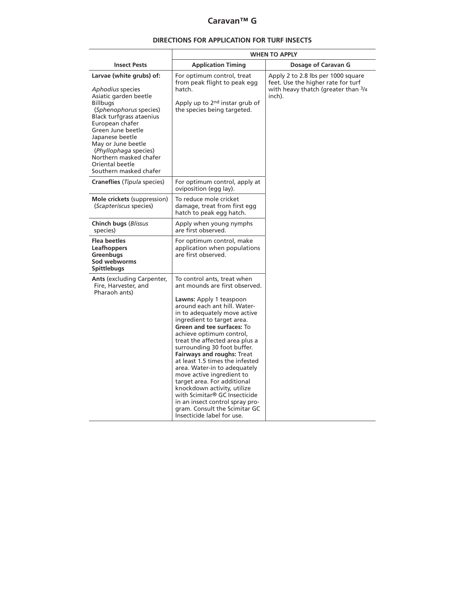#### **DIRECTIONS FOR APPLICATION FOR TURF INSECTS**

|                                                                                                                                                                                                                                                                                                                                 | <b>WHEN TO APPLY</b>                                                                                                                                                                                                                                                                                                                                                                                                                                                                                                                                                                                                                                                       |                                                                                                                           |  |  |
|---------------------------------------------------------------------------------------------------------------------------------------------------------------------------------------------------------------------------------------------------------------------------------------------------------------------------------|----------------------------------------------------------------------------------------------------------------------------------------------------------------------------------------------------------------------------------------------------------------------------------------------------------------------------------------------------------------------------------------------------------------------------------------------------------------------------------------------------------------------------------------------------------------------------------------------------------------------------------------------------------------------------|---------------------------------------------------------------------------------------------------------------------------|--|--|
| <b>Insect Pests</b>                                                                                                                                                                                                                                                                                                             | <b>Application Timing</b>                                                                                                                                                                                                                                                                                                                                                                                                                                                                                                                                                                                                                                                  | Dosage of Caravan G                                                                                                       |  |  |
| Larvae (white grubs) of:<br>Aphodius species<br>Asiatic garden beetle<br><b>Billbugs</b><br>(Sphenophorus species)<br>Black turfgrass ataenius<br>European chafer<br>Green June beetle<br>Japanese beetle<br>May or June beetle<br>(Phyllophaga species)<br>Northern masked chafer<br>Oriental beetle<br>Southern masked chafer | For optimum control, treat<br>from peak flight to peak egg<br>hatch.<br>Apply up to 2nd instar grub of<br>the species being targeted.                                                                                                                                                                                                                                                                                                                                                                                                                                                                                                                                      | Apply 2 to 2.8 lbs per 1000 square<br>feet. Use the higher rate for turf<br>with heavy thatch (greater than 3/4<br>inch). |  |  |
| Craneflies (Tipula species)                                                                                                                                                                                                                                                                                                     | For optimum control, apply at<br>oviposition (egg lay).                                                                                                                                                                                                                                                                                                                                                                                                                                                                                                                                                                                                                    |                                                                                                                           |  |  |
| Mole crickets (suppression)<br>(Scapteriscus species)                                                                                                                                                                                                                                                                           | To reduce mole cricket<br>damage, treat from first egg<br>hatch to peak egg hatch.                                                                                                                                                                                                                                                                                                                                                                                                                                                                                                                                                                                         |                                                                                                                           |  |  |
| Chinch bugs (Blissus<br>species)                                                                                                                                                                                                                                                                                                | Apply when young nymphs<br>are first observed.                                                                                                                                                                                                                                                                                                                                                                                                                                                                                                                                                                                                                             |                                                                                                                           |  |  |
| <b>Flea beetles</b><br>Leafhoppers<br>Greenbugs<br>Sod webworms<br><b>Spittlebugs</b>                                                                                                                                                                                                                                           | For optimum control, make<br>application when populations<br>are first observed.                                                                                                                                                                                                                                                                                                                                                                                                                                                                                                                                                                                           |                                                                                                                           |  |  |
| <b>Ants (excluding Carpenter,</b><br>Fire, Harvester, and<br>Pharaoh ants)                                                                                                                                                                                                                                                      | To control ants, treat when<br>ant mounds are first observed.<br>Lawns: Apply 1 teaspoon<br>around each ant hill. Water-<br>in to adequately move active<br>ingredient to target area.<br><b>Green and tee surfaces: To</b><br>achieve optimum control,<br>treat the affected area plus a<br>surrounding 30 foot buffer.<br><b>Fairways and roughs: Treat</b><br>at least 1.5 times the infested<br>area. Water-in to adequately<br>move active ingredient to<br>target area. For additional<br>knockdown activity, utilize<br>with Scimitar <sup>®</sup> GC Insecticide<br>in an insect control spray pro-<br>gram. Consult the Scimitar GC<br>Insecticide label for use. |                                                                                                                           |  |  |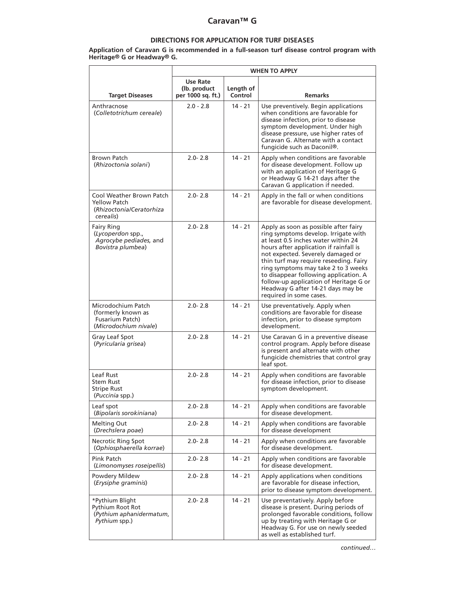#### **DIRECTIONS FOR APPLICATION FOR TURF DISEASES**

#### **Application of Caravan G is recommended in a full-season turf disease control program with Heritage® G or Headway® G.**

|                                                                                          | <b>WHEN TO APPLY</b>                           |                      |                                                                                                                                                                                                                                                                                                                                                                                                                                         |
|------------------------------------------------------------------------------------------|------------------------------------------------|----------------------|-----------------------------------------------------------------------------------------------------------------------------------------------------------------------------------------------------------------------------------------------------------------------------------------------------------------------------------------------------------------------------------------------------------------------------------------|
| <b>Target Diseases</b>                                                                   | Use Rate<br>(lb. product)<br>per 1000 sq. ft.) | Length of<br>Control | <b>Remarks</b>                                                                                                                                                                                                                                                                                                                                                                                                                          |
| Anthracnose<br>(Colletotrichum cereale)                                                  | $2.0 - 2.8$                                    | $14 - 21$            | Use preventively. Begin applications<br>when conditions are favorable for<br>disease infection, prior to disease<br>symptom development. Under high<br>disease pressure, use higher rates of<br>Caravan G. Alternate with a contact<br>fungicide such as Daconil®.                                                                                                                                                                      |
| <b>Brown Patch</b><br>(Rhizoctonia solani)                                               | $2.0 - 2.8$                                    | $14 - 21$            | Apply when conditions are favorable<br>for disease development. Follow up<br>with an application of Heritage G<br>or Headway G 14-21 days after the<br>Caravan G application if needed.                                                                                                                                                                                                                                                 |
| Cool Weather Brown Patch<br><b>Yellow Patch</b><br>(Rhizoctonia/Ceratorhiza<br>cerealis) | $2.0 - 2.8$                                    | $14 - 21$            | Apply in the fall or when conditions<br>are favorable for disease development.                                                                                                                                                                                                                                                                                                                                                          |
| <b>Fairy Ring</b><br>(Lycoperdon spp.,<br>Agrocybe pediades, and<br>Bovistra plumbea)    | $2.0 - 2.8$                                    | $14 - 21$            | Apply as soon as possible after fairy<br>ring symptoms develop. Irrigate with<br>at least 0.5 inches water within 24<br>hours after application if rainfall is<br>not expected. Severely damaged or<br>thin turf may require reseeding. Fairy<br>ring symptoms may take 2 to 3 weeks<br>to disappear following application. A<br>follow-up application of Heritage G or<br>Headway G after 14-21 days may be<br>required in some cases. |
| Microdochium Patch<br>(formerly known as<br>Fusarium Patch)<br>(Microdochium nivale)     | $2.0 - 2.8$                                    | $14 - 21$            | Use preventatively. Apply when<br>conditions are favorable for disease<br>infection, prior to disease symptom<br>development.                                                                                                                                                                                                                                                                                                           |
| Gray Leaf Spot<br>(Pyricularia grisea)                                                   | $2.0 - 2.8$                                    | $14 - 21$            | Use Caravan G in a preventive disease<br>control program. Apply before disease<br>is present and alternate with other<br>fungicide chemistries that control gray<br>leaf spot.                                                                                                                                                                                                                                                          |
| Leaf Rust<br><b>Stem Rust</b><br><b>Stripe Rust</b><br>(Puccinia spp.)                   | $2.0 - 2.8$                                    | $14 - 21$            | Apply when conditions are favorable<br>for disease infection, prior to disease<br>symptom development.                                                                                                                                                                                                                                                                                                                                  |
| Leaf spot<br>(Bipolaris sorokiniana)                                                     | $2.0 - 2.8$                                    | $14 - 21$            | Apply when conditions are favorable<br>for disease development.                                                                                                                                                                                                                                                                                                                                                                         |
| Melting Out<br>(Drechslera poae)                                                         | $2.0 - 2.8$                                    | 14 - 21              | Apply when conditions are favorable<br>for disease development                                                                                                                                                                                                                                                                                                                                                                          |
| <b>Necrotic Ring Spot</b><br>(Ophiosphaerella korrae)                                    | $2.0 - 2.8$                                    | $14 - 21$            | Apply when conditions are favorable<br>for disease development.                                                                                                                                                                                                                                                                                                                                                                         |
| Pink Patch<br>(Limonomyses roseipellis)                                                  | $2.0 - 2.8$                                    | 14 - 21              | Apply when conditions are favorable<br>for disease development.                                                                                                                                                                                                                                                                                                                                                                         |
| Powdery Mildew<br>(Erysiphe graminis)                                                    | $2.0 - 2.8$                                    | 14 - 21              | Apply applications when conditions<br>are favorable for disease infection,<br>prior to disease symptom development.                                                                                                                                                                                                                                                                                                                     |
| *Pythium Blight<br>Pythium Root Rot<br>(Pythium aphanidermatum,<br>Pythium spp.)         | $2.0 - 2.8$                                    | $14 - 21$            | Use preventatively. Apply before<br>disease is present. During periods of<br>prolonged favorable conditions, follow<br>up by treating with Heritage G or<br>Headway G. For use on newly seeded<br>as well as established turf.                                                                                                                                                                                                          |

*continued…*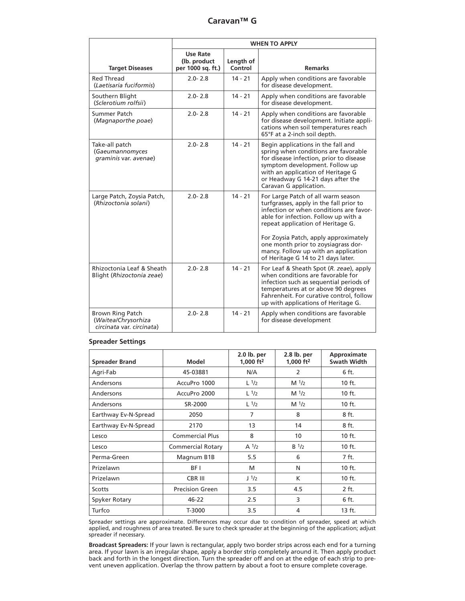|                                                                             | <b>WHEN TO APPLY</b>                                  |                      |                                                                                                                                                                                                                                                                                                                                                                     |  |
|-----------------------------------------------------------------------------|-------------------------------------------------------|----------------------|---------------------------------------------------------------------------------------------------------------------------------------------------------------------------------------------------------------------------------------------------------------------------------------------------------------------------------------------------------------------|--|
| <b>Target Diseases</b>                                                      | <b>Use Rate</b><br>(lb. product)<br>per 1000 sq. ft.) | Length of<br>Control | <b>Remarks</b>                                                                                                                                                                                                                                                                                                                                                      |  |
| <b>Red Thread</b><br>(Laetisaria fuciformis)                                | $2.0 - 2.8$                                           | $14 - 21$            | Apply when conditions are favorable<br>for disease development.                                                                                                                                                                                                                                                                                                     |  |
| Southern Blight<br>(Sclerotium rolfsii)                                     | $2.0 - 2.8$                                           | $14 - 21$            | Apply when conditions are favorable<br>for disease development.                                                                                                                                                                                                                                                                                                     |  |
| Summer Patch<br>(Magnaporthe poae)                                          | $2.0 - 2.8$                                           | $14 - 21$            | Apply when conditions are favorable<br>for disease development. Initiate appli-<br>cations when soil temperatures reach<br>65°F at a 2-inch soil depth.                                                                                                                                                                                                             |  |
| Take-all patch<br>(Gaeumannomyces<br>graminis var. avenae)                  | $2.0 - 2.8$                                           | $14 - 21$            | Begin applications in the fall and<br>spring when conditions are favorable<br>for disease infection, prior to disease<br>symptom development. Follow up<br>with an application of Heritage G<br>or Headway G 14-21 days after the<br>Caravan G application.                                                                                                         |  |
| Large Patch, Zoysia Patch,<br>(Rhizoctonia solani)                          | $2.0 - 2.8$                                           | $14 - 21$            | For Large Patch of all warm season<br>turfgrasses, apply in the fall prior to<br>infection or when conditions are favor-<br>able for infection. Follow up with a<br>repeat application of Heritage G.<br>For Zoysia Patch, apply approximately<br>one month prior to zoysiagrass dor-<br>mancy. Follow up with an application<br>of Heritage G 14 to 21 days later. |  |
| Rhizoctonia Leaf & Sheath<br>Blight (Rhizoctonia zeae)                      | $2.0 - 2.8$                                           | $14 - 21$            | For Leaf & Sheath Spot (R. zeae), apply<br>when conditions are favorable for<br>infection such as sequential periods of<br>temperatures at or above 90 degrees<br>Fahrenheit. For curative control, follow<br>up with applications of Heritage G.                                                                                                                   |  |
| <b>Brown Ring Patch</b><br>(Waitea/Chrysorhiza<br>circinata var. circinata) | $2.0 - 2.8$                                           | $14 - 21$            | Apply when conditions are favorable<br>for disease development                                                                                                                                                                                                                                                                                                      |  |

#### **Spreader Settings**

| <b>Spreader Brand</b> | Model                    | $2.0$ lb. per<br>1.000 $ft2$ | 2.8 lb. per<br>1.000 $ft2$ | Approximate<br>Swath Width |
|-----------------------|--------------------------|------------------------------|----------------------------|----------------------------|
| Agri-Fab              | 45-03881                 | N/A                          | 2                          | 6 ft.                      |
| Andersons             | AccuPro 1000             | L <sup>1</sup> /2            | M <sup>1</sup> /2          | $10$ ft.                   |
| Andersons             | AccuPro 2000             | $L^{1/2}$                    | M <sup>1</sup> /2          | 10 ft.                     |
| Andersons             | SR-2000                  | L <sup>1</sup> /2            | M <sup>1</sup> /2          | $10$ ft.                   |
| Earthway Ev-N-Spread  | 2050                     | 7                            | 8                          | 8 ft.                      |
| Earthway Ev-N-Spread  | 2170                     | 13                           | 14                         | 8 ft.                      |
| Lesco                 | <b>Commercial Plus</b>   | 8                            | 10 <sup>10</sup>           | 10 ft.                     |
| Lesco                 | <b>Commercial Rotary</b> | A <sup>1</sup> /2            | $B^{1/2}$                  | $10$ ft.                   |
| Perma-Green           | Magnum B1B               | 5.5                          | 6                          | 7 ft.                      |
| Prizelawn             | BF I                     | M                            | N                          | $10$ ft.                   |
| Prizelawn             | <b>CBR III</b>           | J <sup>1</sup> /2            | К                          | 10 ft.                     |
| Scotts                | <b>Precision Green</b>   | 3.5                          | 4.5                        | 2 ft.                      |
| Spyker Rotary         | 46-22                    | 2.5                          | 3                          | 6 ft.                      |
| Turfco                | T-3000                   | 3.5                          | 4                          | $13$ ft.                   |

Spreader settings are approximate. Differences may occur due to condition of spreader, speed at which applied, and roughness of area treated. Be sure to check spreader at the beginning of the application; adjust spreader if necessary.

**Broadcast Spreaders:** If your lawn is rectangular, apply two border strips across each end for a turning area. If your lawn is an irregular shape, apply a border strip completely around it. Then apply product back and forth in the longest direction. Turn the spreader off and on at the edge of each strip to prevent uneven application. Overlap the throw pattern by about a foot to ensure complete coverage.